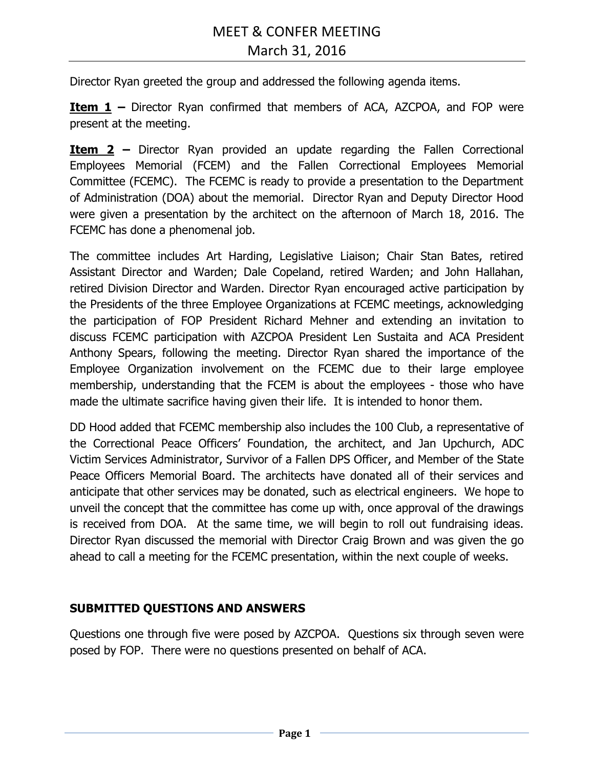Director Ryan greeted the group and addressed the following agenda items.

**Item 1 –** Director Ryan confirmed that members of ACA, AZCPOA, and FOP were present at the meeting.

**Item 2 –** Director Ryan provided an update regarding the Fallen Correctional Employees Memorial (FCEM) and the Fallen Correctional Employees Memorial Committee (FCEMC). The FCEMC is ready to provide a presentation to the Department of Administration (DOA) about the memorial. Director Ryan and Deputy Director Hood were given a presentation by the architect on the afternoon of March 18, 2016. The FCEMC has done a phenomenal job.

The committee includes Art Harding, Legislative Liaison; Chair Stan Bates, retired Assistant Director and Warden; Dale Copeland, retired Warden; and John Hallahan, retired Division Director and Warden. Director Ryan encouraged active participation by the Presidents of the three Employee Organizations at FCEMC meetings, acknowledging the participation of FOP President Richard Mehner and extending an invitation to discuss FCEMC participation with AZCPOA President Len Sustaita and ACA President Anthony Spears, following the meeting. Director Ryan shared the importance of the Employee Organization involvement on the FCEMC due to their large employee membership, understanding that the FCEM is about the employees - those who have made the ultimate sacrifice having given their life. It is intended to honor them.

DD Hood added that FCEMC membership also includes the 100 Club, a representative of the Correctional Peace Officers' Foundation, the architect, and Jan Upchurch, ADC Victim Services Administrator, Survivor of a Fallen DPS Officer, and Member of the State Peace Officers Memorial Board. The architects have donated all of their services and anticipate that other services may be donated, such as electrical engineers. We hope to unveil the concept that the committee has come up with, once approval of the drawings is received from DOA. At the same time, we will begin to roll out fundraising ideas. Director Ryan discussed the memorial with Director Craig Brown and was given the go ahead to call a meeting for the FCEMC presentation, within the next couple of weeks.

### **SUBMITTED QUESTIONS AND ANSWERS**

Questions one through five were posed by AZCPOA. Questions six through seven were posed by FOP. There were no questions presented on behalf of ACA.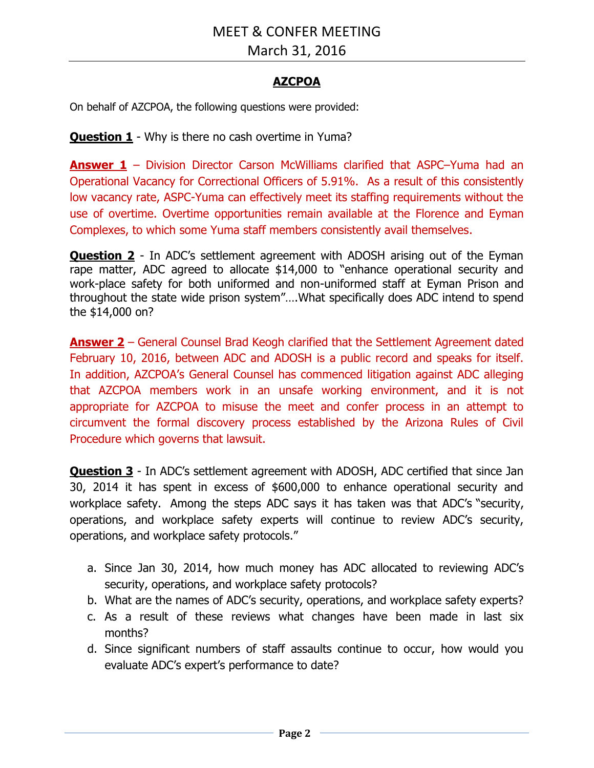March 31, 2016

### **AZCPOA**

On behalf of AZCPOA, the following questions were provided:

**Question 1** - Why is there no cash overtime in Yuma?

**Answer 1** – Division Director Carson McWilliams clarified that ASPC–Yuma had an Operational Vacancy for Correctional Officers of 5.91%. As a result of this consistently low vacancy rate, ASPC-Yuma can effectively meet its staffing requirements without the use of overtime. Overtime opportunities remain available at the Florence and Eyman Complexes, to which some Yuma staff members consistently avail themselves.

**Question 2** - In ADC's settlement agreement with ADOSH arising out of the Eyman rape matter, ADC agreed to allocate \$14,000 to "enhance operational security and work-place safety for both uniformed and non-uniformed staff at Eyman Prison and throughout the state wide prison system"….What specifically does ADC intend to spend the \$14,000 on?

**Answer 2** – General Counsel Brad Keogh clarified that the Settlement Agreement dated February 10, 2016, between ADC and ADOSH is a public record and speaks for itself. In addition, AZCPOA's General Counsel has commenced litigation against ADC alleging that AZCPOA members work in an unsafe working environment, and it is not appropriate for AZCPOA to misuse the meet and confer process in an attempt to circumvent the formal discovery process established by the Arizona Rules of Civil Procedure which governs that lawsuit.

**Question 3** - In ADC's settlement agreement with ADOSH, ADC certified that since Jan 30, 2014 it has spent in excess of \$600,000 to enhance operational security and workplace safety. Among the steps ADC says it has taken was that ADC's "security, operations, and workplace safety experts will continue to review ADC's security, operations, and workplace safety protocols."

- a. Since Jan 30, 2014, how much money has ADC allocated to reviewing ADC's security, operations, and workplace safety protocols?
- b. What are the names of ADC's security, operations, and workplace safety experts?
- c. As a result of these reviews what changes have been made in last six months?
- d. Since significant numbers of staff assaults continue to occur, how would you evaluate ADC's expert's performance to date?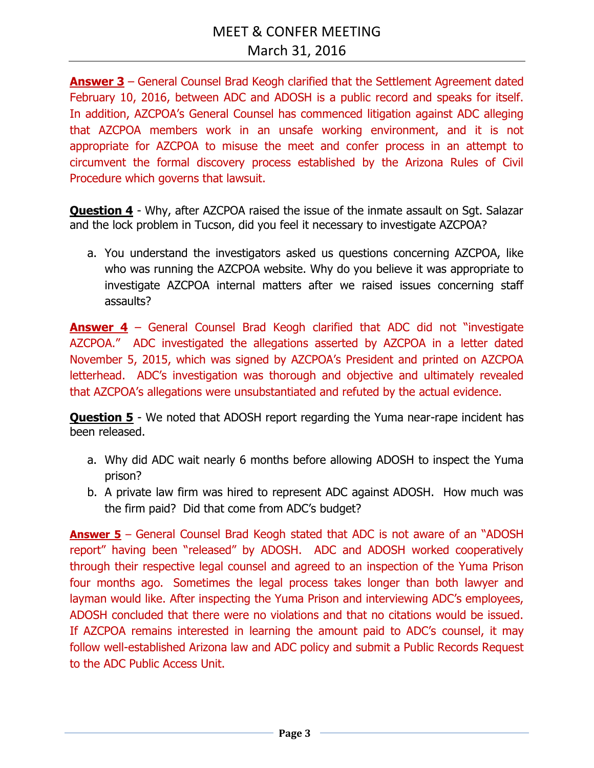**Answer 3** – General Counsel Brad Keogh clarified that the Settlement Agreement dated February 10, 2016, between ADC and ADOSH is a public record and speaks for itself. In addition, AZCPOA's General Counsel has commenced litigation against ADC alleging that AZCPOA members work in an unsafe working environment, and it is not appropriate for AZCPOA to misuse the meet and confer process in an attempt to circumvent the formal discovery process established by the Arizona Rules of Civil Procedure which governs that lawsuit.

**Question 4** - Why, after AZCPOA raised the issue of the inmate assault on Sgt. Salazar and the lock problem in Tucson, did you feel it necessary to investigate AZCPOA?

a. You understand the investigators asked us questions concerning AZCPOA, like who was running the AZCPOA website. Why do you believe it was appropriate to investigate AZCPOA internal matters after we raised issues concerning staff assaults?

**Answer 4** – General Counsel Brad Keogh clarified that ADC did not "investigate AZCPOA." ADC investigated the allegations asserted by AZCPOA in a letter dated November 5, 2015, which was signed by AZCPOA's President and printed on AZCPOA letterhead. ADC's investigation was thorough and objective and ultimately revealed that AZCPOA's allegations were unsubstantiated and refuted by the actual evidence.

**Question 5** - We noted that ADOSH report regarding the Yuma near-rape incident has been released.

- a. Why did ADC wait nearly 6 months before allowing ADOSH to inspect the Yuma prison?
- b. A private law firm was hired to represent ADC against ADOSH. How much was the firm paid? Did that come from ADC's budget?

**Answer 5** – General Counsel Brad Keogh stated that ADC is not aware of an "ADOSH report" having been "released" by ADOSH. ADC and ADOSH worked cooperatively through their respective legal counsel and agreed to an inspection of the Yuma Prison four months ago. Sometimes the legal process takes longer than both lawyer and layman would like. After inspecting the Yuma Prison and interviewing ADC's employees, ADOSH concluded that there were no violations and that no citations would be issued. If AZCPOA remains interested in learning the amount paid to ADC's counsel, it may follow well-established Arizona law and ADC policy and submit a Public Records Request to the ADC Public Access Unit.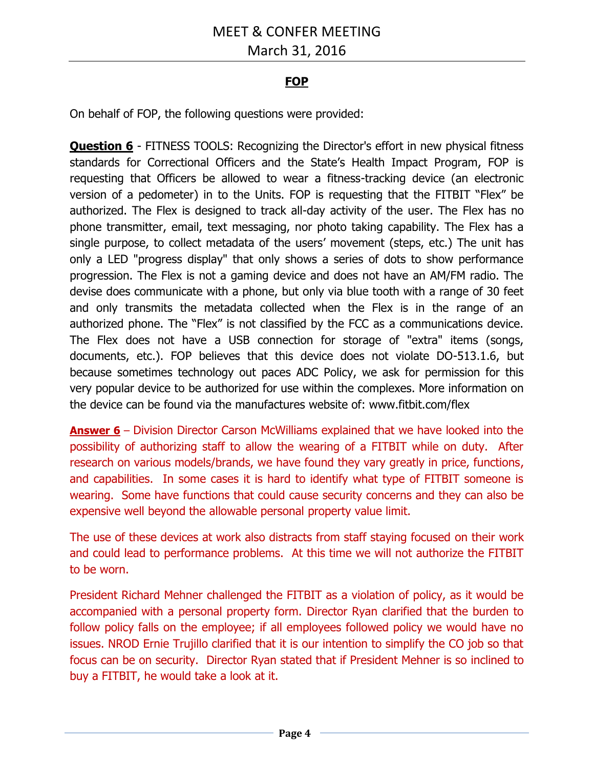# March 31, 2016

## **FOP**

On behalf of FOP, the following questions were provided:

**Question 6** - FITNESS TOOLS: Recognizing the Director's effort in new physical fitness standards for Correctional Officers and the State's Health Impact Program, FOP is requesting that Officers be allowed to wear a fitness-tracking device (an electronic version of a pedometer) in to the Units. FOP is requesting that the FITBIT "Flex" be authorized. The Flex is designed to track all-day activity of the user. The Flex has no phone transmitter, email, text messaging, nor photo taking capability. The Flex has a single purpose, to collect metadata of the users' movement (steps, etc.) The unit has only a LED "progress display" that only shows a series of dots to show performance progression. The Flex is not a gaming device and does not have an AM/FM radio. The devise does communicate with a phone, but only via blue tooth with a range of 30 feet and only transmits the metadata collected when the Flex is in the range of an authorized phone. The "Flex" is not classified by the FCC as a communications device. The Flex does not have a USB connection for storage of "extra" items (songs, documents, etc.). FOP believes that this device does not violate DO-513.1.6, but because sometimes technology out paces ADC Policy, we ask for permission for this very popular device to be authorized for use within the complexes. More information on the device can be found via the manufactures website of: www.fitbit.com/flex

**Answer 6** – Division Director Carson McWilliams explained that we have looked into the possibility of authorizing staff to allow the wearing of a FITBIT while on duty. After research on various models/brands, we have found they vary greatly in price, functions, and capabilities. In some cases it is hard to identify what type of FITBIT someone is wearing. Some have functions that could cause security concerns and they can also be expensive well beyond the allowable personal property value limit.

The use of these devices at work also distracts from staff staying focused on their work and could lead to performance problems. At this time we will not authorize the FITBIT to be worn.

President Richard Mehner challenged the FITBIT as a violation of policy, as it would be accompanied with a personal property form. Director Ryan clarified that the burden to follow policy falls on the employee; if all employees followed policy we would have no issues. NROD Ernie Trujillo clarified that it is our intention to simplify the CO job so that focus can be on security. Director Ryan stated that if President Mehner is so inclined to buy a FITBIT, he would take a look at it.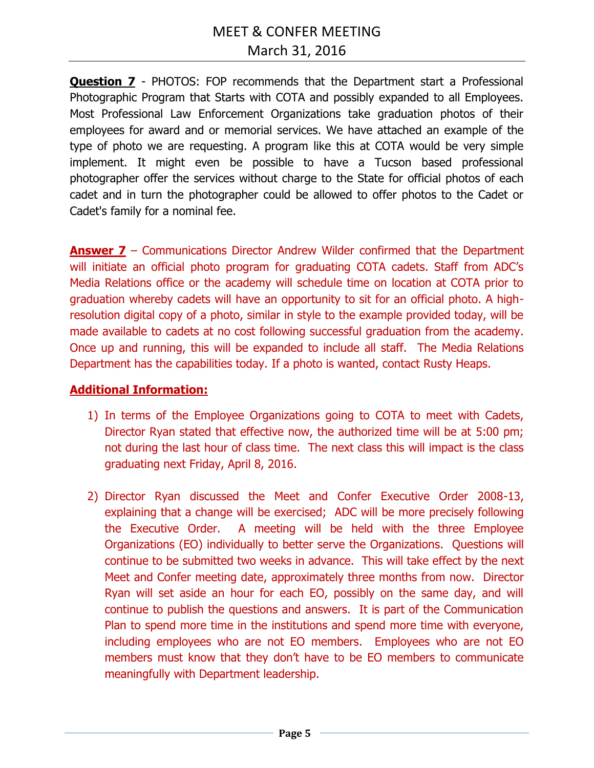**Question 7** - PHOTOS: FOP recommends that the Department start a Professional Photographic Program that Starts with COTA and possibly expanded to all Employees. Most Professional Law Enforcement Organizations take graduation photos of their employees for award and or memorial services. We have attached an example of the type of photo we are requesting. A program like this at COTA would be very simple implement. It might even be possible to have a Tucson based professional photographer offer the services without charge to the State for official photos of each cadet and in turn the photographer could be allowed to offer photos to the Cadet or Cadet's family for a nominal fee.

**Answer 7** – Communications Director Andrew Wilder confirmed that the Department will initiate an official photo program for graduating COTA cadets. Staff from ADC's Media Relations office or the academy will schedule time on location at COTA prior to graduation whereby cadets will have an opportunity to sit for an official photo. A highresolution digital copy of a photo, similar in style to the example provided today, will be made available to cadets at no cost following successful graduation from the academy. Once up and running, this will be expanded to include all staff. The Media Relations Department has the capabilities today. If a photo is wanted, contact Rusty Heaps.

#### **Additional Information:**

- 1) In terms of the Employee Organizations going to COTA to meet with Cadets, Director Ryan stated that effective now, the authorized time will be at 5:00 pm; not during the last hour of class time. The next class this will impact is the class graduating next Friday, April 8, 2016.
- 2) Director Ryan discussed the Meet and Confer Executive Order 2008-13, explaining that a change will be exercised; ADC will be more precisely following the Executive Order. A meeting will be held with the three Employee Organizations (EO) individually to better serve the Organizations. Questions will continue to be submitted two weeks in advance. This will take effect by the next Meet and Confer meeting date, approximately three months from now. Director Ryan will set aside an hour for each EO, possibly on the same day, and will continue to publish the questions and answers. It is part of the Communication Plan to spend more time in the institutions and spend more time with everyone, including employees who are not EO members. Employees who are not EO members must know that they don't have to be EO members to communicate meaningfully with Department leadership.